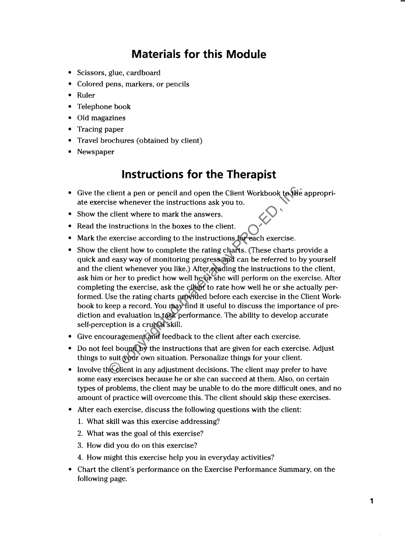## **Materials for this Module**

- Scissors, glue, cardboard
- Colored pens, markers, or pencils
- Ruler
- Telephone book
- Old magazines
- Tracing paper
- Travel brochures (obtained by client)
- Newspaper

### **Instructions for the Therapist**

- Give the client a pen or pencil and open the Client Workbook to the appropriate exercise whenever the instructions ask you to.
- Show the client where to mark the answers.
- Read the instructions in the boxes to the client.
- Mark the exercise according to the instructions for each exercise.
- Show the client how to complete the rating charts. (These charts provide a quick and easy way of monitoring progress and can be referred to by yourself and the client whenever you like.) After reading the instructions to the client, ask him or her to predict how well he or she will perform on the exercise. After completing the exercise, ask the client to rate how well he or she actually performed. Use the rating charts provided before each exercise in the Client Workbook to keep a record. You may find it useful to discuss the importance of prediction and evaluation in task performance. The ability to develop accurate self-perception is a crucial skill. client a pen or pencil and open the Client Workbook to the<br>ise whenever the instructions ask you to.<br>
client where to mark the answers.<br>
instructions in the boxes to the client.<br>
exercise according to the instructions for
- Give encouragement and feedback to the client after each exercise.
- Do not feel bound by the instructions that are given for each exercise. Adjust things to suit your own situation. Personalize things for your client.
- Involve the client in any adjustment decisions. The client may prefer to have some easy exercises because he or she can succeed at them. Also, on certain types of problems, the client may be unable to do the more difficult ones, and no amount of practice will overcome this. The client should skip these exercises.
- After each exercise, discuss the following questions with the client:
	- 1. What skill was this exercise addressing?
	- 2. What was the goal of this exercise?
	- 3. How did you do on this exercise?
	- 4. How might this exercise help you in everyday activities?
- Chart the client's performance on the Exercise Performance Summary, on the following page.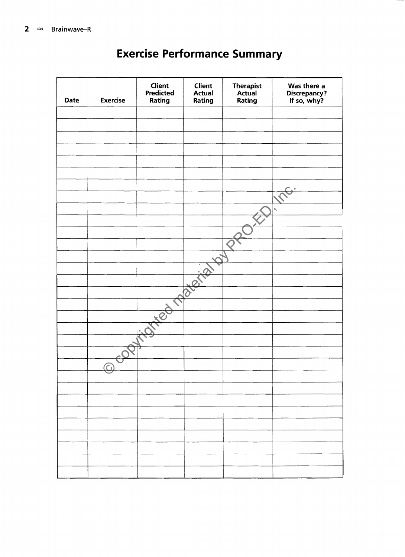| Date | <b>Exercise</b> | Client<br>Predicted<br>Rating | <b>Client</b><br><b>Actual</b><br>Rating | Therapist<br>Actual<br>Rating | Was there a<br>Discrepancy?<br>If so, why? |
|------|-----------------|-------------------------------|------------------------------------------|-------------------------------|--------------------------------------------|
|      |                 |                               |                                          |                               |                                            |
|      |                 |                               |                                          |                               |                                            |
|      |                 |                               |                                          |                               |                                            |
|      |                 |                               |                                          |                               |                                            |
|      |                 |                               |                                          |                               |                                            |
|      |                 |                               |                                          |                               |                                            |
|      |                 |                               |                                          |                               |                                            |
|      |                 |                               |                                          |                               |                                            |
|      |                 |                               |                                          |                               | ٩                                          |
|      |                 |                               |                                          |                               |                                            |
|      |                 |                               |                                          |                               |                                            |
|      |                 |                               |                                          |                               |                                            |
|      |                 |                               |                                          |                               |                                            |
|      |                 |                               |                                          |                               |                                            |
|      |                 |                               |                                          |                               |                                            |
|      |                 |                               |                                          |                               |                                            |
|      |                 |                               |                                          |                               |                                            |
|      |                 |                               |                                          |                               |                                            |
|      |                 |                               |                                          |                               |                                            |
|      |                 |                               |                                          |                               |                                            |
|      |                 |                               |                                          |                               |                                            |
|      |                 |                               |                                          |                               |                                            |
|      |                 |                               |                                          |                               |                                            |
|      |                 |                               |                                          |                               |                                            |
|      |                 |                               |                                          |                               |                                            |
|      |                 |                               |                                          |                               |                                            |
|      |                 |                               |                                          |                               |                                            |
|      |                 |                               |                                          |                               |                                            |
|      |                 |                               |                                          |                               |                                            |
|      |                 |                               |                                          |                               |                                            |
|      |                 |                               |                                          |                               |                                            |
|      |                 |                               |                                          |                               |                                            |

## **Exercise Performance Summary**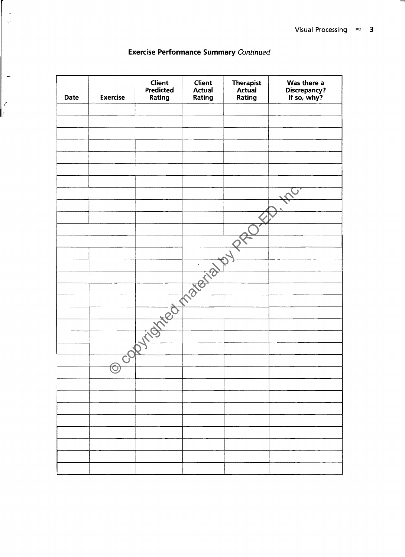$\cdot$ 

| Date | <b>Exercise</b>    | Client<br>Predicted<br>Rating | Client<br>Actual<br>Rating | Therapist<br>Actual<br>Rating | Was there a<br>Discrepancy?<br>If so, why? |
|------|--------------------|-------------------------------|----------------------------|-------------------------------|--------------------------------------------|
|      |                    |                               |                            |                               |                                            |
|      |                    |                               |                            |                               |                                            |
|      |                    |                               |                            |                               |                                            |
|      |                    |                               |                            |                               |                                            |
|      |                    |                               |                            |                               |                                            |
|      |                    |                               |                            |                               |                                            |
|      |                    |                               |                            |                               |                                            |
|      |                    |                               |                            |                               |                                            |
|      |                    |                               |                            |                               |                                            |
|      |                    |                               |                            |                               |                                            |
|      |                    |                               |                            |                               |                                            |
|      |                    |                               |                            |                               |                                            |
|      |                    |                               |                            |                               |                                            |
|      |                    |                               |                            |                               |                                            |
|      |                    |                               |                            |                               |                                            |
|      |                    |                               |                            |                               |                                            |
|      |                    |                               | Réfia                      |                               |                                            |
|      |                    |                               |                            |                               |                                            |
|      |                    |                               |                            |                               |                                            |
|      |                    |                               |                            |                               |                                            |
|      |                    |                               |                            |                               |                                            |
|      |                    |                               |                            |                               |                                            |
|      |                    |                               |                            |                               |                                            |
|      |                    |                               |                            |                               |                                            |
|      |                    |                               |                            |                               |                                            |
|      | O)<br>$\checkmark$ |                               |                            |                               |                                            |
|      |                    |                               |                            |                               |                                            |
|      |                    |                               |                            |                               |                                            |
|      |                    |                               |                            |                               |                                            |
|      |                    |                               |                            |                               |                                            |
|      |                    |                               |                            |                               |                                            |
|      |                    |                               |                            |                               |                                            |
|      |                    |                               |                            |                               |                                            |
|      |                    |                               |                            |                               |                                            |
|      |                    |                               |                            |                               |                                            |
|      |                    |                               |                            |                               |                                            |

#### Exercise Performance Summary Continued

"

-

 $\frac{1}{2}$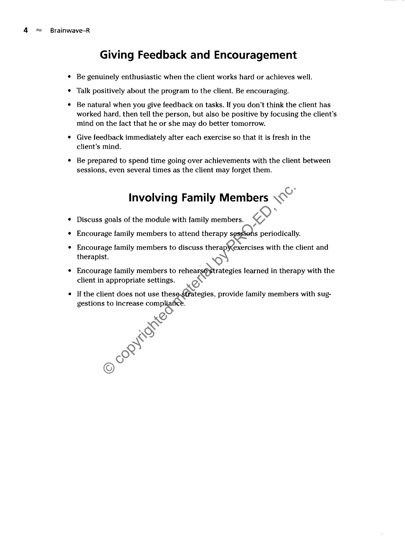## **Giving Feedback and Encouragement**

- Be genuinely enthusiastic when the client works hard or achieves well.
- Talk positively about the program to the client. Be encouraging.
- Be natural when you give feedback on tasks. If you don't think the client has worked hard, then tell the person, but also be positive by focusing the client's mind on the fact that he or she may do better tomorrow.
- Give feedback immediately after each exercise so that it is fresh in the client's mind.
- Be prepared to spend time going over achievements with the client between sessions, even several times as the client may forget them.

# **Involving Family Members**  $\sqrt{C}$

- Discuss goals of the module with family members.
- Encourage family members to attend therapy sessions periodically.
- Encourage family members to discuss therapy exercises with the client and therapist.
- Encourage family members to rehearse strategies learned in therapy with the client in appropriate settings.
- If the client does not use these strategies, provide family members with suggestions to increase compliance.

Example in the settings.<br>
So increase compliance.